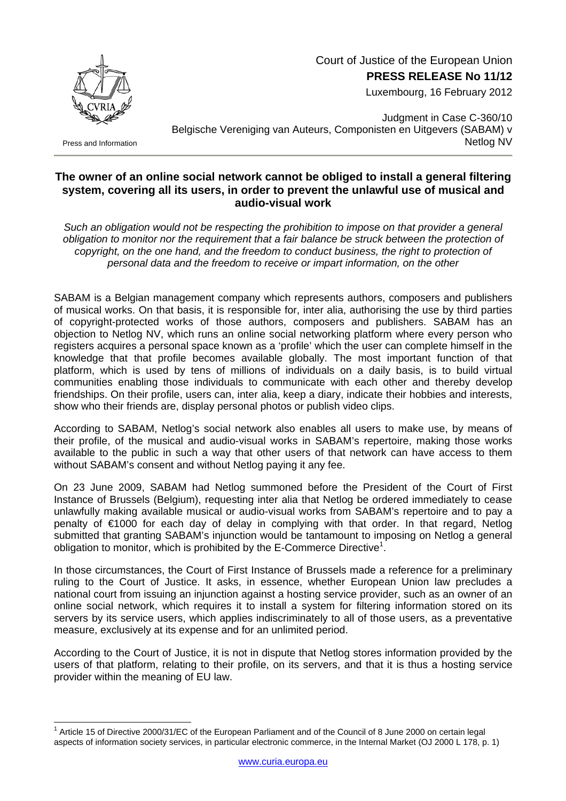Court of Justice of the European Union **PRESS RELEASE No 11/12**

Luxembourg, 16 February 2012



Press and Information

Judgment in Case C-360/10 Belgische Vereniging van Auteurs, Componisten en Uitgevers (SABAM) v Netlog NV

## **The owner of an online social network cannot be obliged to install a general filtering system, covering all its users, in order to prevent the unlawful use of musical and audio-visual work**

*Such an obligation would not be respecting the prohibition to impose on that provider a general obligation to monitor nor the requirement that a fair balance be struck between the protection of copyright, on the one hand, and the freedom to conduct business, the right to protection of personal data and the freedom to receive or impart information, on the other* 

SABAM is a Belgian management company which represents authors, composers and publishers of musical works. On that basis, it is responsible for, inter alia, authorising the use by third parties of copyright-protected works of those authors, composers and publishers. SABAM has an objection to Netlog NV, which runs an online social networking platform where every person who registers acquires a personal space known as a 'profile' which the user can complete himself in the knowledge that that profile becomes available globally. The most important function of that platform, which is used by tens of millions of individuals on a daily basis, is to build virtual communities enabling those individuals to communicate with each other and thereby develop friendships. On their profile, users can, inter alia, keep a diary, indicate their hobbies and interests, show who their friends are, display personal photos or publish video clips.

According to SABAM, Netlog's social network also enables all users to make use, by means of their profile, of the musical and audio-visual works in SABAM's repertoire, making those works available to the public in such a way that other users of that network can have access to them without SABAM's consent and without Netlog paying it any fee.

On 23 June 2009, SABAM had Netlog summoned before the President of the Court of First Instance of Brussels (Belgium), requesting inter alia that Netlog be ordered immediately to cease unlawfully making available musical or audio-visual works from SABAM's repertoire and to pay a penalty of €1000 for each day of delay in complying with that order. In that regard, Netlog submitted that granting SABAM's injunction would be tantamount to imposing on Netlog a general obligation to monitor, which is prohibited by the E-Commerce Directive<sup>1</sup>.

In those circumstances, the Court of First Instance of Brussels made a reference for a preliminary ruling to the Court of Justice. It asks, in essence, whether European Union law precludes a national court from issuing an injunction against a hosting service provider, such as an owner of an online social network, which requires it to install a system for filtering information stored on its servers by its service users, which applies indiscriminately to all of those users, as a preventative measure, exclusively at its expense and for an unlimited period.

According to the Court of Justice, it is not in dispute that Netlog stores information provided by the users of that platform, relating to their profile, on its servers, and that it is thus a hosting service provider within the meaning of EU law.

<span id="page-0-0"></span> $\overline{a}$ <sup>1</sup> Article 15 of Directive 2000/31/EC of the European Parliament and of the Council of 8 June 2000 on certain legal aspects of information society services, in particular electronic commerce, in the Internal Market (OJ 2000 L 178, p. 1)